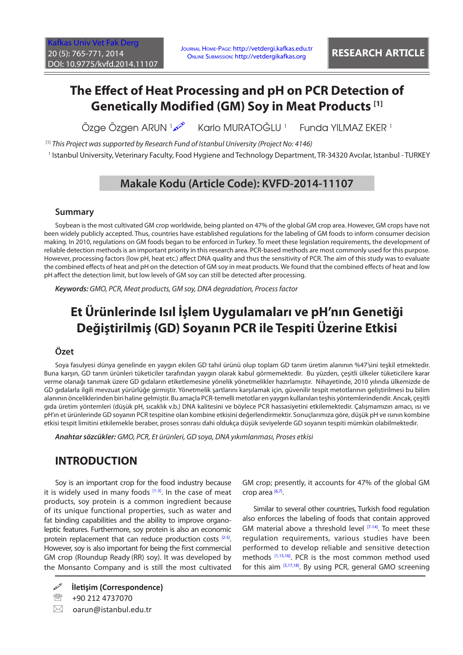# **The Effect of Heat Processing and pH on PCR Detection of Genetically Modified (GM) Soy in Meat Products [1]**

Özge Özgen ARUN 1 Karlo MURATOĞLU<sup>1</sup> Funda YILMAZ EKER <sup>1</sup>

[1] *This Project was supported by Research Fund of Istanbul University (Project No: 4146)*

1 Istanbul University, Veterinary Faculty, Food Hygiene and Technology Department, TR-34320 Avcılar, Istanbul - TURKEY

# **Makale Kodu (Article Code): KVFD-2014-11107**

### **Summary**

Soybean is the most cultivated GM crop worldwide, being planted on 47% of the global GM crop area. However, GM crops have not been widely publicly accepted. Thus, countries have established regulations for the labeling of GM foods to inform consumer decision making. In 2010, regulations on GM foods began to be enforced in Turkey. To meet these legislation requirements, the development of reliable detection methods is an important priority in this research area. PCR-based methods are most commonly used for this purpose. However, processing factors (low pH, heat etc.) affect DNA quality and thus the sensitivity of PCR. The aim of this study was to evaluate the combined effects of heat and pH on the detection of GM soy in meat products. We found that the combined effects of heat and low pH affect the detection limit, but low levels of GM soy can still be detected after processing.

*Keywords: GMO, PCR, Meat products, GM soy, DNA degradation, Process factor*

# **Et Ürünlerinde Isıl İşlem Uygulamaları ve pH'nın Genetiği Değiştirilmiş (GD) Soyanın PCR ile Tespiti Üzerine Etkisi**

### **Özet**

Soya fasulyesi dünya genelinde en yaygın ekilen GD tahıl ürünü olup toplam GD tarım üretim alanının %47'sini teşkil etmektedir. Buna karşın, GD tarım ürünleri tüketiciler tarafından yaygın olarak kabul görmemektedir. Bu yüzden, çeşitli ülkeler tüketicilere karar verme olanağı tanımak üzere GD gıdaların etiketlemesine yönelik yönetmelikler hazırlamıştır. Nihayetinde, 2010 yılında ülkemizde de GD gıdalarla ilgili mevzuat yürürlüğe girmiştir. Yönetmelik şartlarını karşılamak için, güvenilir tespit metotlarının geliştirilmesi bu bilim alanının önceliklerinden biri haline gelmiştir. Bu amaçla PCR-temelli metotlar en yaygın kullanılan teşhis yöntemlerindendir. Ancak, çeşitli gıda üretim yöntemleri (düşük pH, sıcaklık v.b.) DNA kalitesini ve böylece PCR hassasiyetini etkilemektedir. Çalışmamızın amacı, ısı ve pH'ın et ürünlerinde GD soyanın PCR tespitine olan kombine etkisini değerlendirmektir. Sonuçlarımıza göre, düşük pH ve ısının kombine etkisi tespit limitini etkilemekle beraber, proses sonrası dahi oldukça düşük seviyelerde GD soyanın tespiti mümkün olabilmektedir.

*Anahtar sözcükler: GMO, PCR, Et ürünleri, GD soya, DNA yıkımlanması, Proses etkisi*

## **INTRODUCTION**

Soy is an important crop for the food industry because it is widely used in many foods  $[1-3]$ . In the case of meat products, soy protein is a common ingredient because of its unique functional properties, such as water and fat binding capabilities and the ability to improve organoleptic features. Furthermore, soy protein is also an economic protein replacement that can reduce production costs [\[2-5\].](#page-5-0) However, soy is also important for being the first commercial GM crop (Roundup Ready (RR) soy). It was developed by the Monsanto Company and is still the most cultivated

<sup>2</sup> +90 212 4737070

 $\boxtimes$  oarun@istanbul.edu.tr

GM crop; presently, it accounts for 47% of the global GM crop area  $[6,7]$ .

Similar to several other countries, Turkish food regulation also enforces the labeling of foods that contain approved GM material above a threshold level  $[7-14]$ . To meet these regulation requirements, various studies have been performed to develop reliable and sensitive detection methods [\[1,](#page-5-0)[15,16\].](#page-6-0) PCR is the most common method used for this aim [\[3](#page-5-0)[,17,18\].](#page-6-0) By using PCR, general GMO screening

**İletişim (Correspondence)**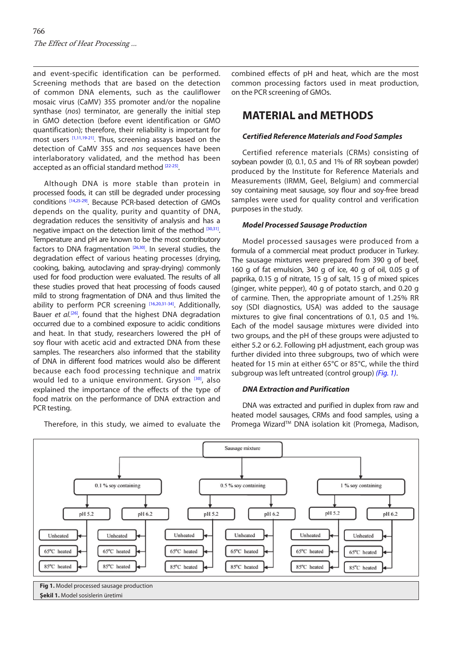and event-specific identification can be performed. Screening methods that are based on the detection of common DNA elements, such as the cauliflower mosaic virus (CaMV) 35S promoter and/or the nopaline synthase (*nos*) terminator, are generally the initial step in GMO detection (before event identification or GMO quantification); therefore, their reliability is important for most users [\[1,](#page-5-0)[11,19-21\]](#page-6-0). Thus, screening assays based on the detection of CaMV 35S and *nos* sequences have been interlaboratory validated, and the method has been accepted as an official standard method [\[22-25\]](#page-6-0).

Although DNA is more stable than protein in processed foods, it can still be degraded under processing conditions [\[14,25-29\].](#page-6-0) Because PCR-based detection of GMOs depends on the quality, purity and quantity of DNA, degradation reduces the sensitivity of analysis and has a negative impact on the detection limit of the method [\[30,31\]](#page-6-0). Temperature and pH are known to be the most contributory factors to DNA fragmentation  $[26,30]$ . In several studies, the degradation effect of various heating processes (drying, cooking, baking, autoclaving and spray-drying) commonly used for food production were evaluated. The results of all these studies proved that heat processing of foods caused mild to strong fragmentation of DNA and thus limited the ability to perform PCR screening [\[16,20,31-34\].](#page-6-0) Additionally, Bauer *et al.*<sup>[\[26\]](#page-6-0)</sup>, found that the highest DNA degradation occurred due to a combined exposure to acidic conditions and heat. In that study, researchers lowered the pH of soy flour with acetic acid and extracted DNA from these samples. The researchers also informed that the stability of DNA in different food matrices would also be different because each food processing technique and matrix would led to a unique environment. Gryson [\[30\]](#page-6-0), also explained the importance of the effects of the type of food matrix on the performance of DNA extraction and PCR testing.

Therefore, in this study, we aimed to evaluate the

combined effects of pH and heat, which are the most common processing factors used in meat production, on the PCR screening of GMOs.

## **MATERIAL and METHODS**

#### *Certified Reference Materials and Food Samples*

Certified reference materials (CRMs) consisting of soybean powder (0, 0.1, 0.5 and 1% of RR soybean powder) produced by the Institute for Reference Materials and Measurements (IRMM, Geel, Belgium) and commercial soy containing meat sausage, soy flour and soy-free bread samples were used for quality control and verification purposes in the study.

#### *Model Processed Sausage Production*

Model processed sausages were produced from a formula of a commercial meat product producer in Turkey. The sausage mixtures were prepared from 390 g of beef, 160 g of fat emulsion, 340 g of ice, 40 g of oil, 0.05 g of paprika, 0.15 g of nitrate, 15 g of salt, 15 g of mixed spices (ginger, white pepper), 40 g of potato starch, and 0.20 g of carmine. Then, the appropriate amount of 1.25% RR soy (SDI diagnostics, USA) was added to the sausage mixtures to give final concentrations of 0.1, 0.5 and 1%. Each of the model sausage mixtures were divided into two groups, and the pH of these groups were adjusted to either 5.2 or 6.2. Following pH adjustment, each group was further divided into three subgroups, two of which were heated for 15 min at either 65°C or 85°C, while the third subgroup was left untreated (control group) *(Fig. 1)*.

#### *DNA Extraction and Purification*

DNA was extracted and purified in duplex from raw and heated model sausages, CRMs and food samples, using a Promega Wizard™ DNA isolation kit (Promega, Madison,

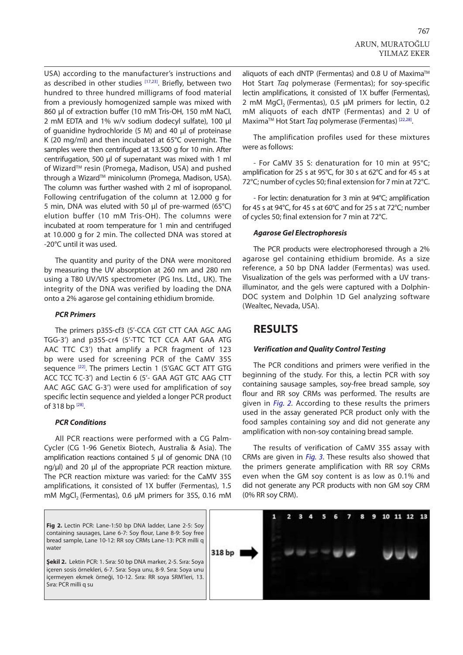<span id="page-2-0"></span>USA) according to the manufacturer's instructions and as described in other studies [\[17,23\].](#page-6-0) Briefly, between two hundred to three hundred milligrams of food material from a previously homogenized sample was mixed with 860 µl of extraction buffer (10 mM Tris-OH, 150 mM NaCl, 2 mM EDTA and 1% w/v sodium dodecyl sulfate), 100 µl of guanidine hydrochloride (5 M) and 40 µl of proteinase K (20 mg/ml) and then incubated at 65°C overnight. The samples were then centrifuged at 13.500 g for 10 min. After centrifugation, 500 µl of supernatant was mixed with 1 ml of Wizard™ resin (Promega, Madison, USA) and pushed through a Wizard™ minicolumn (Promega, Madison, USA). The column was further washed with 2 ml of isopropanol. Following centrifugation of the column at 12.000 g for 5 min, DNA was eluted with 50 µl of pre-warmed (65°C) elution buffer (10 mM Tris-OH). The columns were incubated at room temperature for 1 min and centrifuged at 10.000 g for 2 min. The collected DNA was stored at -20°C until it was used.

The quantity and purity of the DNA were monitored by measuring the UV absorption at 260 nm and 280 nm using a T80 UV/VIS spectrometer (PG Ins. Ltd., UK). The integrity of the DNA was verified by loading the DNA onto a 2% agarose gel containing ethidium bromide.

#### *PCR Primers*

The primers p35S-cf3 (5'-CCA CGT CTT CAA AGC AAG TGG-3') and p35S-cr4 (5'-TTC TCT CCA AAT GAA ATG AAC TTC C3') that amplify a PCR fragment of 123 bp were used for screening PCR of the CaMV 35S sequence <sup>[22]</sup>. The primers Lectin 1 (5'GAC GCT ATT GTG ACC TCC TC-3') and Lectin 6 (5'- GAA AGT GTC AAG CTT AAC AGC GAC G-3') were used for amplification of soy specific lectin sequence and yielded a longer PCR product of 318 bp [\[28\]](#page-6-0).

#### *PCR Conditions*

All PCR reactions were performed with a CG Palm-Cycler (CG 1-96 Genetix Biotech, Australia & Asia). The amplification reactions contained 5 µl of genomic DNA (10 ng/µl) and 20 µl of the appropriate PCR reaction mixture. The PCR reaction mixture was varied: for the CaMV 35S amplifications, it consisted of 1X buffer (Fermentas), 1.5 mM MgCl<sub>2</sub> (Fermentas), 0.6 µM primers for 35S, 0.16 mM aliquots of each dNTP (Fermentas) and 0.8 U of Maxima™ Hot Start *Taq* polymerase (Fermentas); for soy-specific lectin amplifications, it consisted of 1X buffer (Fermentas), 2 mM MgCl<sub>2</sub> (Fermentas), 0.5 µM primers for lectin, 0.2 mM aliquots of each dNTP (Fermentas) and 2 U of MaximaTM Hot Start *Taq* polymerase (Fermentas) [\[22,28\].](#page-6-0)

The amplification profiles used for these mixtures were as follows:

- For CaMV 35 S: denaturation for 10 min at 95°C; amplification for 25 s at 95°C, for 30 s at 62°C and for 45 s at 72°C; number of cycles 50; final extension for 7 min at 72°C.

- For lectin: denaturation for 3 min at 94°C; amplification for 45 s at 94°C, for 45 s at 60°C and for 25 s at 72°C; number of cycles 50; final extension for 7 min at 72°C.

#### *Agarose Gel Electrophoresis*

The PCR products were electrophoresed through a 2% agarose gel containing ethidium bromide. As a size reference, a 50 bp DNA ladder (Fermentas) was used. Visualization of the gels was performed with a UV transilluminator, and the gels were captured with a Dolphin-DOC system and Dolphin 1D Gel analyzing software (Wealtec, Nevada, USA).

## **RESULTS**

#### *Verification and Quality Control Testing*

The PCR conditions and primers were verified in the beginning of the study. For this, a lectin PCR with soy containing sausage samples, soy-free bread sample, soy flour and RR soy CRMs was performed. The results are given in *Fig. 2.* According to these results the primers used in the assay generated PCR product only with the food samples containing soy and did not generate any amplification with non-soy containing bread sample.

The results of verification of CaMV 35S assay with CRMs are given in *[Fig. 3](#page-3-0)*. These results also showed that the primers generate amplification with RR soy CRMs even when the GM soy content is as low as 0.1% and did not generate any PCR products with non GM soy CRM (0% RR soy CRM).

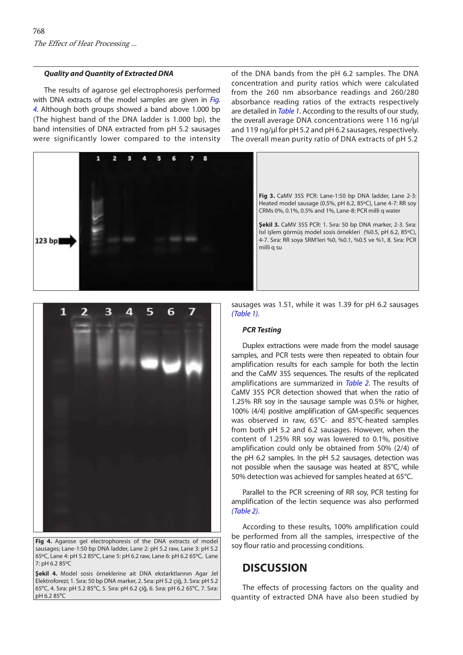#### <span id="page-3-0"></span>*Quality and Quantity of Extracted DNA*

The results of agarose gel electrophoresis performed with DNA extracts of the model samples are given in *Fig. 4*. Although both groups showed a band above 1.000 bp (The highest band of the DNA ladder is 1.000 bp), the band intensities of DNA extracted from pH 5.2 sausages were significantly lower compared to the intensity

 $\overline{ }$ ×,  $\mathbf{r}$ **Fig 3.** CaMV 35S PCR: Lane-1:50 bp DNA ladder, Lane 2-3: Heated model sausage (0.5%, pH 6.2, 85ºC), Lane 4-7: RR soy CRMs 0%, 0.1%, 0.5% and 1%, Lane-8: PCR milli q water **Şekil 3.** CaMV 35S PCR: 1. Sıra: 50 bp DNA marker, 2-3. Sıra: Isıl işlem görmüş model sosis örnekleri (%0.5, pH 6.2, 85ºC), 4-7. Sıra: RR soya SRM'leri %0, %0.1, %0.5 ve %1, 8. Sıra: PCR 123 bp milli q su



**Fig 4.** Agarose gel electrophoresis of the DNA extracts of model sausages; Lane-1:50 bp DNA ladder, Lane 2: pH 5.2 raw, Lane 3: pH 5.2 65ºC, Lane 4: pH 5.2 85ºC, Lane 5: pH 6.2 raw, Lane 6: pH 6.2 65ºC, Lane 7: pH 6.2 85ºC

**Şekil 4.** Model sosis örneklerine ait DNA ekstarktlarının Agar Jel Elektroforezi; 1. Sıra: 50 bp DNA marker, 2. Sıra: pH 5.2 çiğ, 3. Sıra: pH 5.2 65ºC, 4. Sıra: pH 5.2 85ºC, 5. Sıra: pH 6.2 çiğ, 6. Sıra: pH 6.2 65ºC, 7. Sıra: pH 6.2 85ºC

sausages was 1.51, while it was 1.39 for pH 6.2 sausages *[\(Table 1\)](#page-4-0)*.

#### *PCR Testing*

Duplex extractions were made from the model sausage samples, and PCR tests were then repeated to obtain four amplification results for each sample for both the lectin and the CaMV 35S sequences. The results of the replicated amplifications are summarized in *[Table 2](#page-4-0)*. The results of CaMV 35S PCR detection showed that when the ratio of 1.25% RR soy in the sausage sample was 0.5% or higher, 100% (4/4) positive amplification of GM-specific sequences was observed in raw, 65°C- and 85°C-heated samples from both pH 5.2 and 6.2 sausages. However, when the content of 1.25% RR soy was lowered to 0.1%, positive amplification could only be obtained from 50% (2/4) of the pH 6.2 samples. In the pH 5.2 sausages, detection was not possible when the sausage was heated at 85°C, while 50% detection was achieved for samples heated at 65°C.

Parallel to the PCR screening of RR soy, PCR testing for amplification of the lectin sequence was also performed *[\(Table 2\)](#page-4-0)*.

According to these results, 100% amplification could be performed from all the samples, irrespective of the soy flour ratio and processing conditions.

### **DISCUSSION**

The effects of processing factors on the quality and quantity of extracted DNA have also been studied by

of the DNA bands from the pH 6.2 samples. The DNA concentration and purity ratios which were calculated from the 260 nm absorbance readings and 260/280 absorbance reading ratios of the extracts respectively are detailed in *[Table 1](#page-4-0)*. According to the results of our study, the overall average DNA concentrations were 116 ng/µl and 119 ng/µl for pH 5.2 and pH 6.2 sausages, respectively. The overall mean purity ratio of DNA extracts of pH 5.2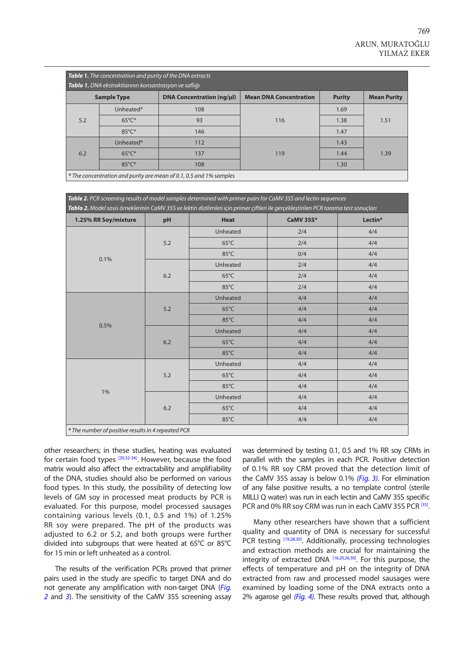<span id="page-4-0"></span>

| <b>Table 1.</b> The concentration and purity of the DNA extracts<br>Tablo 1. DNA ekstraktlarının konsantrasyon ve saflığı |                 |                                  |                               |               |                    |  |  |  |
|---------------------------------------------------------------------------------------------------------------------------|-----------------|----------------------------------|-------------------------------|---------------|--------------------|--|--|--|
| <b>Sample Type</b>                                                                                                        |                 | <b>DNA Concentration (ng/µl)</b> | <b>Mean DNA Concentration</b> | <b>Purity</b> | <b>Mean Purity</b> |  |  |  |
| 5.2                                                                                                                       | Unheated*       | 108                              | 116                           | 1.69          | 1.51               |  |  |  |
|                                                                                                                           | $65^{\circ}$ C* | 93                               |                               | 1.38          |                    |  |  |  |
|                                                                                                                           | $85^{\circ}$ C* | 146                              |                               | 1.47          |                    |  |  |  |
| 6.2                                                                                                                       | Unheated*       | 112                              |                               | 1.43          | 1.39               |  |  |  |
|                                                                                                                           | $65^{\circ}$ C* | 137                              | 119                           | 1.44          |                    |  |  |  |
|                                                                                                                           | $85^{\circ}$ C* | 108                              |                               | 1.30          |                    |  |  |  |
| * The concentration and purity are mean of 0.1, 0.5 and 1% samples                                                        |                 |                                  |                               |               |                    |  |  |  |

*Table 2. PCR screening results of model samples determined with primer pairs for CaMV 35S and lectin sequences Tablo 2. Model sosis örneklerinin CaMV 35S ve lektin dizilimleri için primer çiftleri ile gerçekleştirilen PCR tarama test sonuçları*

|                                                    |         | $\sim$ $\sim$<br>- 3 - | المحالة المحاضر  | - 3 -   |  |  |  |
|----------------------------------------------------|---------|------------------------|------------------|---------|--|--|--|
| 1.25% RR Soy/mixture                               | pH      | <b>Heat</b>            | <b>CaMV 35S*</b> | Lectin* |  |  |  |
|                                                    | $5.2$   | Unheated               | 2/4              | 4/4     |  |  |  |
|                                                    |         | $65^{\circ}$ C         | 2/4              | 4/4     |  |  |  |
|                                                    |         | 85°C                   | 0/4              | 4/4     |  |  |  |
| 0.1%                                               | 6.2     | Unheated               | 2/4              | 4/4     |  |  |  |
|                                                    |         | $65^{\circ}$ C         | 2/4              | 4/4     |  |  |  |
|                                                    |         | 85°C                   | 2/4              | 4/4     |  |  |  |
|                                                    | 5.2     | Unheated               | 4/4              | 4/4     |  |  |  |
|                                                    |         | $65^{\circ}$ C         | 4/4              | 4/4     |  |  |  |
|                                                    |         | 85°C                   | 4/4              | 4/4     |  |  |  |
| 0.5%                                               | $6.2\,$ | Unheated               | 4/4              | 4/4     |  |  |  |
|                                                    |         | $65^{\circ}$ C         | 4/4              | 4/4     |  |  |  |
|                                                    |         | 85°C                   | 4/4              | 4/4     |  |  |  |
|                                                    | 5.2     | Unheated               | 4/4              | 4/4     |  |  |  |
|                                                    |         | $65^{\circ}$ C         | 4/4              | 4/4     |  |  |  |
|                                                    |         | 85°C                   | 4/4              | 4/4     |  |  |  |
| $1\%$                                              | $6.2\,$ | Unheated               | 4/4              | 4/4     |  |  |  |
|                                                    |         | $65^{\circ}$ C         | 4/4              | 4/4     |  |  |  |
|                                                    |         | 85°C                   | 4/4              | 4/4     |  |  |  |
| * The number of positive results in 4 repeated PCR |         |                        |                  |         |  |  |  |

other researchers; in these studies, heating was evaluated for certain food types [\[20,32-34\]](#page-6-0). However, because the food matrix would also affect the extractability and amplifiability of the DNA, studies should also be performed on various food types. In this study, the possibility of detecting low levels of GM soy in processed meat products by PCR is evaluated. For this purpose, model processed sausages containing various levels (0.1, 0.5 and 1%) of 1.25% RR soy were prepared. The pH of the products was adjusted to 6.2 or 5.2, and both groups were further divided into subgroups that were heated at 65°C or 85°C for 15 min or left unheated as a control.

The results of the verification PCRs proved that primer pairs used in the study are specific to target DNA and do [not generate any amplification with non-target DNA \(](#page-2-0)*Fig. 2* and *[3](#page-3-0)*). The sensitivity of the CaMV 35S screening assay was determined by testing 0.1, 0.5 and 1% RR soy CRMs in parallel with the samples in each PCR. Positive detection of 0.1% RR soy CRM proved that the detection limit of the CaMV 35S assay is below 0.1% *[\(Fig. 3\)](#page-3-0)*. For elimination of any false positive results, a no template control (sterile MILLI Q water) was run in each lectin and CaMV 35S specific PCR and 0% RR soy CRM was run in each CaMV 35S PCR [\[35\].](#page-6-0)

Many other researchers have shown that a sufficient quality and quantity of DNA is necessary for successful PCR testing [\[19,28,30\]](#page-6-0). Additionally, processing technologies and extraction methods are crucial for maintaining the integrity of extracted DNA [\[16,20,26,30\].](#page-6-0) For this purpose, the effects of temperature and pH on the integrity of DNA extracted from raw and processed model sausages were examined by loading some of the DNA extracts onto a 2% agarose gel *[\(Fig. 4\)](#page-3-0)*. These results proved that, although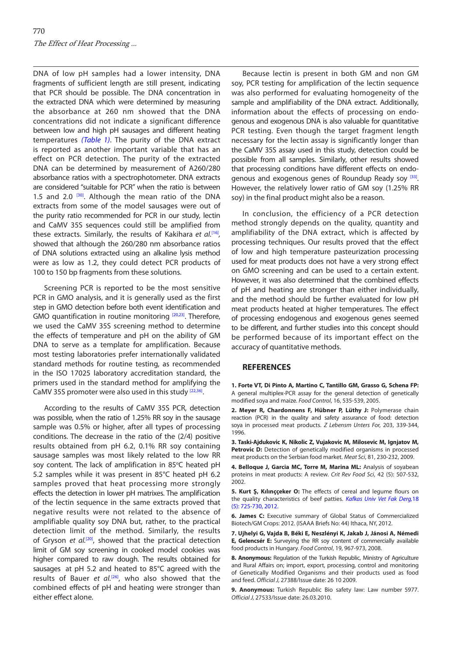<span id="page-5-0"></span>DNA of low pH samples had a lower intensity, DNA fragments of sufficient length are still present, indicating that PCR should be possible. The DNA concentration in the extracted DNA which were determined by measuring the absorbance at 260 nm showed that the DNA concentrations did not indicate a significant difference between low and high pH sausages and different heating temperatures *[\(Table 1\)](#page-4-0)*. The purity of the DNA extract is reported as another important variable that has an effect on PCR detection. The purity of the extracted DNA can be determined by measurement of A260/280 absorbance ratios with a spectrophotometer. DNA extracts are considered "suitable for PCR" when the ratio is between 1.5 and 2.0  $[30]$ . Although the mean ratio of the DNA extracts from some of the model sausages were out of the purity ratio recommended for PCR in our study, lectin and CaMV 35S sequences could still be amplified from these extracts. Similarly, the results of Kakihara *et al.*[\[16\]](#page-6-0)*,* showed that although the 260/280 nm absorbance ratios of DNA solutions extracted using an alkaline lysis method were as low as 1.2, they could detect PCR products of 100 to 150 bp fragments from these solutions.

Screening PCR is reported to be the most sensitive PCR in GMO analysis, and it is generally used as the first step in GMO detection before both event identification and GMO quantification in routine monitoring [\[20,23\]](#page-6-0). Therefore, we used the CaMV 35S screening method to determine the effects of temperature and pH on the ability of GM DNA to serve as a template for amplification. Because most testing laboratories prefer internationally validated standard methods for routine testing, as recommended in the ISO 17025 laboratory accreditation standard, the primers used in the standard method for amplifying the CaMV 35S promoter were also used in this study [\[22,36\]](#page-6-0).

According to the results of CaMV 35S PCR, detection was possible, when the ratio of 1.25% RR soy in the sausage sample was 0.5% or higher, after all types of processing conditions. The decrease in the ratio of the (2/4) positive results obtained from pH 6.2, 0.1% RR soy containing sausage samples was most likely related to the low RR soy content. The lack of amplification in 85°C heated pH 5.2 samples while it was present in 85°C heated pH 6.2 samples proved that heat processing more strongly effects the detection in lower pH matrixes. The amplification of the lectin sequence in the same extracts proved that negative results were not related to the absence of amplifiable quality soy DNA but, rather, to the practical detection limit of the method. Similarly, the results of Gryson *et al.*<sup>[20]</sup>, showed that the practical detection limit of GM soy screening in cooked model cookies was higher compared to raw dough. The results obtained for sausages at pH 5.2 and heated to 85°C agreed with the results of Bauer *et al.*[\[26\]](#page-6-0), who also showed that the combined effects of pH and heating were stronger than either effect alone.

Because lectin is present in both GM and non GM soy, PCR testing for amplification of the lectin sequence was also performed for evaluating homogeneity of the sample and amplifiability of the DNA extract. Additionally, information about the effects of processing on endogenous and exogenous DNA is also valuable for quantitative PCR testing. Even though the target fragment length necessary for the lectin assay is significantly longer than the CaMV 35S assay used in this study, detection could be possible from all samples. Similarly, other results showed that processing conditions have different effects on endo-genous and exogenous genes of Roundup Ready soy [\[33\].](#page-6-0) However, the relatively lower ratio of GM soy (1.25% RR soy) in the final product might also be a reason.

In conclusion, the efficiency of a PCR detection method strongly depends on the quality, quantity and amplifiability of the DNA extract, which is affected by processing techniques. Our results proved that the effect of low and high temperature pasteurization processing used for meat products does not have a very strong effect on GMO screening and can be used to a certain extent. However, it was also determined that the combined effects of pH and heating are stronger than either individually, and the method should be further evaluated for low pH meat products heated at higher temperatures. The effect of processing endogenous and exogenous genes seemed to be different, and further studies into this concept should be performed because of its important effect on the accuracy of quantitative methods.

#### **REFERENCES**

**1. Forte VT, Di Pinto A, Martino C, Tantillo GM, Grasso G, Schena FP:** A general multiplex-PCR assay for the general detection of genetically modified soya and maize. *Food Control*, 16, 535-539, 2005.

**2. Meyer R, Chardonnens F, Hübner P, Lüthy J:** Polymerase chain reaction (PCR) in the quality and safety assurance of food: detection soya in processed meat products. *Z Lebensm Unters For,* 203, 339-344, 1996.

**3. Taski-Ajdukovic K, Nikolic Z, Vujakovic M, Milosevic M, Ignjatov M,**  Petrovic D: Detection of genetically modified organisms in processed meat products on the Serbian food market. *Meat Sci*, 81, 230-232, 2009.

**4. Belloque J, Garcia MC, Torre M, Marina ML:** Analysis of soyabean proteins in meat products: A review. *Crit Rev Food Sci*, 42 (5): 507-532, 2002.

**5. Kurt Ş, Kılınççeker O:** The effects of cereal and legume flours on [the quality characteristics of beef patties.](http://vetdergi.kafkas.edu.tr/extdocs/2012_5/725-730.pdf) *Kafkas Univ Vet Fak Derg,*18 (5): 725-730, 2012.

**6. James C:** Executive summary of Global Status of Commercialized Biotech/GM Crops: 2012. (ISAAA Briefs No: 44) Ithaca, NY, 2012.

**7. Ujhelyi G, Vajda B, Béki E, Neszlényi K, Jakab J, Jánosi A, Némedi E, Gelencsér E:** Surveying the RR soy content of commercially available food products in Hungary. *Food Control*, 19, 967-973, 2008.

**8. Anonymous:** Regulation of the Turkish Republic, Ministry of Agriculture and Rural Affairs on; import, export, processing, control and monitoring of Genetically Modified Organisms and their products used as food and feed. *Official J,* 27388/Issue date: 26 10 2009.

**9. Anonymous:** Turkish Republic Bio safety law: Law number 5977. *Official J,* 27533/Issue date: 26.03.2010.